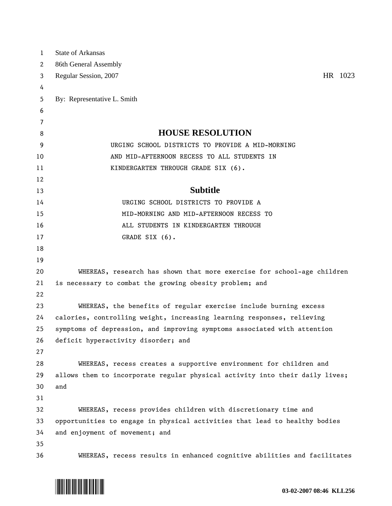| 1        | <b>State of Arkansas</b>                                                     |
|----------|------------------------------------------------------------------------------|
| 2        | 86th General Assembly                                                        |
| 3        | HR 1023<br>Regular Session, 2007                                             |
| 4        |                                                                              |
| 5        | By: Representative L. Smith                                                  |
| 6        |                                                                              |
| 7        |                                                                              |
| 8        | <b>HOUSE RESOLUTION</b>                                                      |
| 9        | URGING SCHOOL DISTRICTS TO PROVIDE A MID-MORNING                             |
| 10       | AND MID-AFTERNOON RECESS TO ALL STUDENTS IN                                  |
| 11       | KINDERGARTEN THROUGH GRADE SIX (6).                                          |
| 12       |                                                                              |
| 13       | <b>Subtitle</b>                                                              |
| 14       | URGING SCHOOL DISTRICTS TO PROVIDE A                                         |
| 15       | MID-MORNING AND MID-AFTERNOON RECESS TO                                      |
| 16       | ALL STUDENTS IN KINDERGARTEN THROUGH                                         |
| 17       | GRADE SIX (6).                                                               |
| 18       |                                                                              |
| 19       |                                                                              |
| 20       | WHEREAS, research has shown that more exercise for school-age children       |
| 21       | is necessary to combat the growing obesity problem; and                      |
| 22       |                                                                              |
| 23       | WHEREAS, the benefits of regular exercise include burning excess             |
| 24       | calories, controlling weight, increasing learning responses, relieving       |
| 25       | symptoms of depression, and improving symptoms associated with attention     |
| 26<br>27 | deficit hyperactivity disorder; and                                          |
| 28       | WHEREAS, recess creates a supportive environment for children and            |
| 29       | allows them to incorporate regular physical activity into their daily lives; |
| 30       | and                                                                          |
| 31       |                                                                              |
| 32       | WHEREAS, recess provides children with discretionary time and                |
| 33       | opportunities to engage in physical activities that lead to healthy bodies   |
| 34       | and enjoyment of movement; and                                               |
| 35       |                                                                              |
| 36       | WHEREAS, recess results in enhanced cognitive abilities and facilitates      |